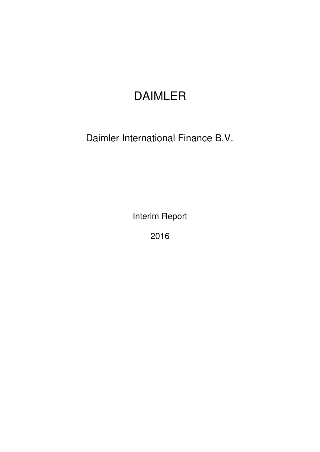# DAIMLER

Daimler International Finance B.V.

Interim Report

2016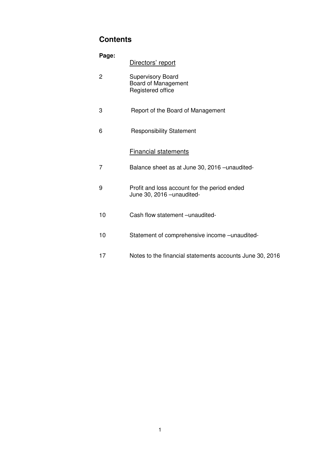# **Contents**

| Page:          | Directors' report                                                          |
|----------------|----------------------------------------------------------------------------|
| $\overline{c}$ | <b>Supervisory Board</b><br>Board of Management<br>Registered office       |
| 3              | Report of the Board of Management                                          |
| 6              | <b>Responsibility Statement</b>                                            |
|                | <b>Financial statements</b>                                                |
| $\overline{7}$ | Balance sheet as at June 30, 2016 - unaudited-                             |
| 9              | Profit and loss account for the period ended<br>June 30, 2016 - unaudited- |
| 10             | Cash flow statement - unaudited-                                           |
| 10             | Statement of comprehensive income -unaudited-                              |
| 17             | Notes to the financial statements accounts June 30, 2016                   |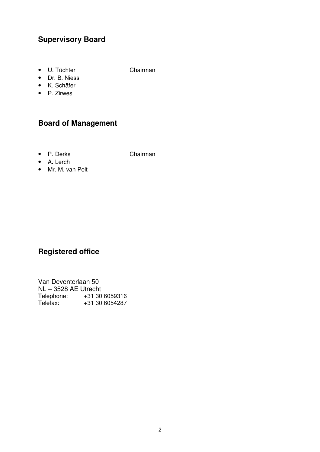# **Supervisory Board**

• U. Tüchter Chairman

- Dr. B. Niess
- K. Schäfer
- P. Zirwes

# **Board of Management**

• P. Derks Chairman

- A. Lerch
- Mr. M. van Pelt

# **Registered office**

Van Deventerlaan 50 NL – 3528 AE Utrecht Telephone: +31 30 6059316 Telefax: +31 30 6054287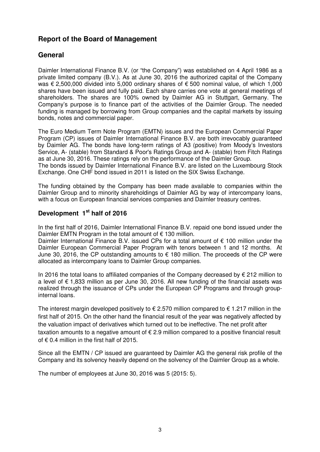# **Report of the Board of Management**

# **General**

Daimler International Finance B.V. (or "the Company") was established on 4 April 1986 as a private limited company (B.V.). As at June 30, 2016 the authorized capital of the Company was € 2,500,000 divided into 5,000 ordinary shares of € 500 nominal value, of which 1,000 shares have been issued and fully paid. Each share carries one vote at general meetings of shareholders. The shares are 100% owned by Daimler AG in Stuttgart, Germany. The Company's purpose is to finance part of the activities of the Daimler Group. The needed funding is managed by borrowing from Group companies and the capital markets by issuing bonds, notes and commercial paper.

The Euro Medium Term Note Program (EMTN) issues and the European Commercial Paper Program (CP) issues of Daimler International Finance B.V. are both irrevocably guaranteed by Daimler AG. The bonds have long-term ratings of A3 (positive) from Moody's Investors Service, A- (stable) from Standard & Poor's Ratings Group and A- (stable) from Fitch Ratings as at June 30, 2016. These ratings rely on the performance of the Daimler Group. The bonds issued by Daimler International Finance B.V. are listed on the Luxembourg Stock Exchange. One CHF bond issued in 2011 is listed on the SIX Swiss Exchange.

The funding obtained by the Company has been made available to companies within the Daimler Group and to minority shareholdings of Daimler AG by way of intercompany loans, with a focus on European financial services companies and Daimler treasury centres.

# **Development 1st half of 2016**

In the first half of 2016, Daimler International Finance B.V. repaid one bond issued under the Daimler EMTN Program in the total amount of  $\epsilon$  130 million.

Daimler International Finance B.V. issued CPs for a total amount of  $\epsilon$  100 million under the Daimler European Commercial Paper Program with tenors between 1 and 12 months. At June 30, 2016, the CP outstanding amounts to  $\epsilon$  180 million. The proceeds of the CP were allocated as intercompany loans to Daimler Group companies.

In 2016 the total loans to affiliated companies of the Company decreased by € 212 million to a level of € 1,833 million as per June 30, 2016. All new funding of the financial assets was realized through the issuance of CPs under the European CP Programs and through groupinternal loans.

The interest margin developed positively to  $\epsilon$  2.570 million compared to  $\epsilon$  1.217 million in the first half of 2015. On the other hand the financial result of the year was negatively affected by the valuation impact of derivatives which turned out to be ineffective. The net profit after taxation amounts to a negative amount of  $\epsilon$  2.9 million compared to a positive financial result of  $\epsilon$  0.4 million in the first half of 2015.

Since all the EMTN / CP issued are guaranteed by Daimler AG the general risk profile of the Company and its solvency heavily depend on the solvency of the Daimler Group as a whole.

The number of employees at June 30, 2016 was 5 (2015: 5).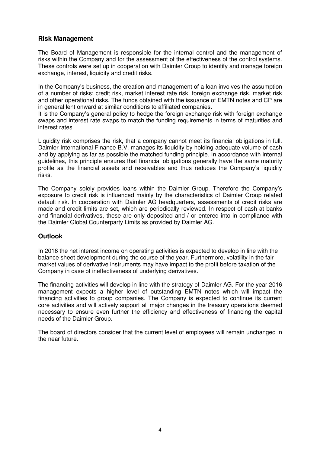### **Risk Management**

The Board of Management is responsible for the internal control and the management of risks within the Company and for the assessment of the effectiveness of the control systems. These controls were set up in cooperation with Daimler Group to identify and manage foreign exchange, interest, liquidity and credit risks.

In the Company's business, the creation and management of a loan involves the assumption of a number of risks: credit risk, market interest rate risk, foreign exchange risk, market risk and other operational risks. The funds obtained with the issuance of EMTN notes and CP are in general lent onward at similar conditions to affiliated companies.

It is the Company's general policy to hedge the foreign exchange risk with foreign exchange swaps and interest rate swaps to match the funding requirements in terms of maturities and interest rates.

Liquidity risk comprises the risk, that a company cannot meet its financial obligations in full. Daimler International Finance B.V. manages its liquidity by holding adequate volume of cash and by applying as far as possible the matched funding principle. In accordance with internal guidelines, this principle ensures that financial obligations generally have the same maturity profile as the financial assets and receivables and thus reduces the Company's liquidity risks.

The Company solely provides loans within the Daimler Group. Therefore the Company's exposure to credit risk is influenced mainly by the characteristics of Daimler Group related default risk. In cooperation with Daimler AG headquarters, assessments of credit risks are made and credit limits are set, which are periodically reviewed. In respect of cash at banks and financial derivatives, these are only deposited and / or entered into in compliance with the Daimler Global Counterparty Limits as provided by Daimler AG.

### **Outlook**

In 2016 the net interest income on operating activities is expected to develop in line with the balance sheet development during the course of the year. Furthermore, volatility in the fair market values of derivative instruments may have impact to the profit before taxation of the Company in case of ineffectiveness of underlying derivatives.

The financing activities will develop in line with the strategy of Daimler AG. For the year 2016 management expects a higher level of outstanding EMTN notes which will impact the financing activities to group companies. The Company is expected to continue its current core activities and will actively support all major changes in the treasury operations deemed necessary to ensure even further the efficiency and effectiveness of financing the capital needs of the Daimler Group.

The board of directors consider that the current level of employees will remain unchanged in the near future.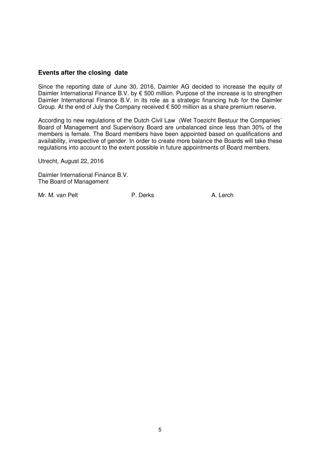#### **Events after the closing date**

Since the reporting date of June 30, 2016, Daimler AG decided to increase the equity of Daimler International Finance B.V. by € 500 million. Purpose of the increase is to strengthen Daimler International Finance B.V. in its role as a strategic financing hub for the Daimler Group. At the end of July the Company received  $\epsilon$  500 million as a share premium reserve.

According to new regulations of the Dutch Civil Law (Wet Toezicht Bestuur the Companies´ Board of Management and Supervisory Board are unbalanced since less than 30% of the members is female. The Board members have been appointed based on qualifications and availability, irrespective of gender. In order to create more balance the Boards will take these regulations into account to the extent possible in future appointments of Board members.

Utrecht, August 22, 2016

Daimler International Finance B.V. The Board of Management

Mr. M. van Pelt **P. Derks** P. Derks A. Lerch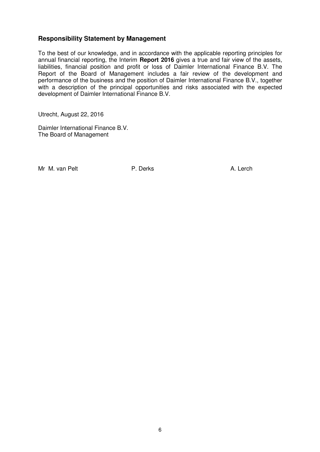#### **Responsibility Statement by Management**

To the best of our knowledge, and in accordance with the applicable reporting principles for annual financial reporting, the Interim **Report 2016** gives a true and fair view of the assets, liabilities, financial position and profit or loss of Daimler International Finance B.V. The Report of the Board of Management includes a fair review of the development and performance of the business and the position of Daimler International Finance B.V., together with a description of the principal opportunities and risks associated with the expected development of Daimler International Finance B.V.

Utrecht, August 22, 2016

Daimler International Finance B.V. The Board of Management

Mr M. van Pelt **P. Derks** P. Derks A. Lerch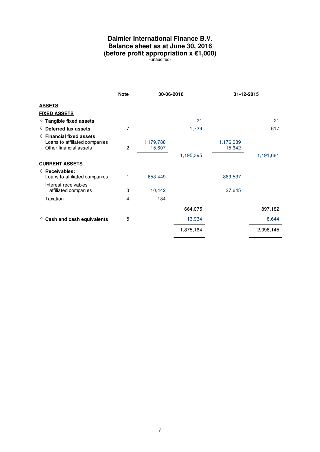# **Daimler International Finance B.V. Balance sheet as at June 30, 2016 (before profit appropriation x €1,000)**

-unaudited-

|                                                                                              | <b>Note</b>    | 30-06-2016          |           | 31-12-2015          |           |
|----------------------------------------------------------------------------------------------|----------------|---------------------|-----------|---------------------|-----------|
| <b>ASSETS</b>                                                                                |                |                     |           |                     |           |
| <b>FIXED ASSETS</b>                                                                          |                |                     |           |                     |           |
| $\Diamond$ Tangible fixed assets                                                             |                |                     | 21        |                     | 21        |
| $\Diamond$ Deferred tax assets                                                               | 7              |                     | 1,739     |                     | 617       |
| $\Diamond$ Financial fixed assets<br>Loans to affiliated companies<br>Other financial assets | $\overline{2}$ | 1,179,788<br>15,607 |           | 1,176,039<br>15,642 |           |
|                                                                                              |                |                     | 1,195,395 |                     | 1,191,681 |
| <b>CURRENT ASSETS</b>                                                                        |                |                     |           |                     |           |
| $\Diamond$ Receivables:<br>Loans to affiliated companies                                     |                | 653,449             |           | 869,537             |           |
| Interest receivables<br>affiliated companies                                                 | 3              | 10,442              |           | 27,645              |           |
| Taxation                                                                                     | 4              | 184                 |           |                     |           |
|                                                                                              |                |                     | 664,075   |                     | 897,182   |
| $\Diamond$ Cash and cash equivalents                                                         | 5              |                     | 13,934    |                     | 8,644     |
|                                                                                              |                |                     | 1,875,164 |                     | 2,098,145 |
|                                                                                              |                |                     |           |                     |           |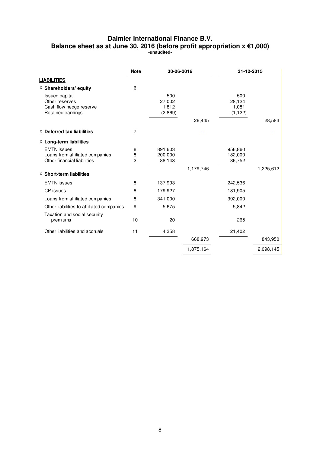#### **Daimler International Finance B.V. Balance sheet as at June 30, 2016 (before profit appropriation x €1,000) -unaudited-**

|                                                                                         | <b>Note</b>              | 30-06-2016                        |           | 31-12-2015                         |           |
|-----------------------------------------------------------------------------------------|--------------------------|-----------------------------------|-----------|------------------------------------|-----------|
| <b>LIABILITIES</b>                                                                      |                          |                                   |           |                                    |           |
| ♦ Shareholders' equity                                                                  | 6                        |                                   |           |                                    |           |
| <b>Issued capital</b><br>Other reserves<br>Cash flow hedge reserve<br>Retained earnings |                          | 500<br>27,002<br>1,812<br>(2,869) |           | 500<br>28,124<br>1,081<br>(1, 122) |           |
|                                                                                         |                          |                                   | 26,445    |                                    | 28,583    |
| $\Diamond$ Deferred tax liabilities                                                     | $\overline{7}$           |                                   |           |                                    |           |
| $\Diamond$ Long-term liabilities                                                        |                          |                                   |           |                                    |           |
| <b>EMTN</b> issues<br>Loans from affiliated companies<br>Other financial liabilities    | 8<br>8<br>$\overline{c}$ | 891,603<br>200,000<br>88,143      |           | 956,860<br>182,000<br>86,752       |           |
| $\diamond$ Short-term liabilities                                                       |                          |                                   | 1,179,746 |                                    | 1,225,612 |
| <b>EMTN</b> issues                                                                      | 8                        | 137,993                           |           | 242,536                            |           |
| CP issues                                                                               | 8                        | 179,927                           |           | 181,905                            |           |
| Loans from affiliated companies                                                         | 8                        | 341,000                           |           | 392,000                            |           |
| Other liabilities to affiliated companies                                               | 9                        | 5,675                             |           | 5,842                              |           |
| Taxation and social security<br>premiums                                                | 10                       | 20                                |           | 265                                |           |
| Other liabilities and accruals                                                          | 11                       | 4,358                             |           | 21,402                             |           |
|                                                                                         |                          |                                   | 668,973   |                                    | 843,950   |
|                                                                                         |                          |                                   | 1,875,164 |                                    | 2,098,145 |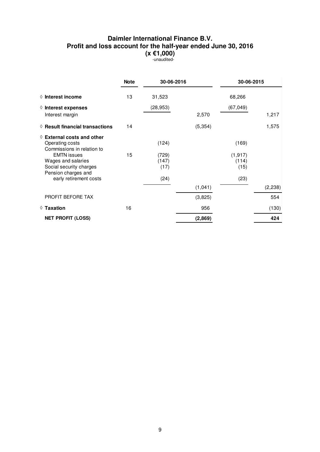### **Daimler International Finance B.V. Profit and loss account for the half-year ended June 30, 2016 (x €1,000)**

-unaudited-

|                                                                                            | <b>Note</b> | 30-06-2016             |          | 30-06-2015                |          |
|--------------------------------------------------------------------------------------------|-------------|------------------------|----------|---------------------------|----------|
| $\Diamond$ Interest income                                                                 | 13          | 31,523                 |          | 68,266                    |          |
| $\Diamond$ Interest expenses                                                               |             | (28, 953)              |          | (67, 049)                 |          |
| Interest margin                                                                            |             |                        | 2,570    |                           | 1,217    |
| $\Diamond$ Result financial transactions                                                   | 14          |                        | (5, 354) |                           | 1,575    |
| $\Diamond$ External costs and other<br>Operating costs<br>Commissions in relation to       |             | (124)                  |          | (169)                     |          |
| <b>EMTN</b> issues<br>Wages and salaries<br>Social security charges<br>Pension charges and | 15          | (729)<br>(147)<br>(17) |          | (1, 917)<br>(114)<br>(15) |          |
| early retirement costs                                                                     |             | (24)                   |          | (23)                      |          |
|                                                                                            |             |                        | (1,041)  |                           | (2, 238) |
| PROFIT BEFORE TAX                                                                          |             |                        | (3,825)  |                           | 554      |
| $\Diamond$ Taxation                                                                        | 16          |                        | 956      |                           | (130)    |
| <b>NET PROFIT (LOSS)</b>                                                                   |             |                        | (2,869)  |                           | 424      |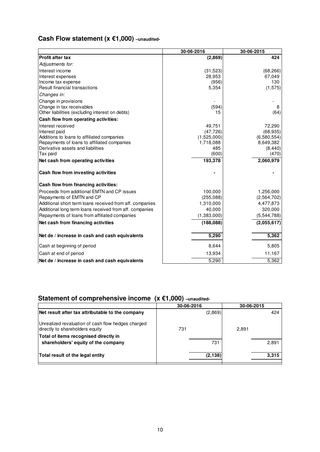# **Cash Flow statement (x €1,000) –unaudited-**

|                                                          | 30-06-2016  | 30-06-2015  |
|----------------------------------------------------------|-------------|-------------|
| <b>Profit after tax</b>                                  | (2,869)     | 424         |
| Adjustments for:                                         |             |             |
| Interest income                                          | (31, 523)   | (68, 266)   |
| Interest expenses                                        | 28,953      | 67,049      |
| Income tax expense                                       | (956)       | 130         |
| Result financial transactions                            | 5,354       | (1, 575)    |
| Changes in:                                              |             |             |
| Change in provisions                                     |             |             |
| Change in tax receivables                                | (594)       | 8           |
| Other liabilities (excluding interest on debts)          | 15          | (64)        |
| Cash flow from operating activities:                     |             |             |
| Interest received                                        | 49,751      | 72,290      |
| Interest paid                                            | (47, 726)   | (68, 935)   |
| Additions to loans to affiliated companies               | (1,525,000) | (6,580,554) |
| Repayments of loans to affiliated companies              | 1,718,088   | 8,649,382   |
| Derivative assets and liabilities                        | 485         | (8, 440)    |
| Tax paid                                                 | (600)       | (470)       |
| Net cash from operating activities                       | 193,378     | 2,060,979   |
| Cash flow from investing activities                      |             |             |
| Cash flow from financing activities:                     |             |             |
| Proceeds from additional EMTN and CP issues              | 100,000     | 1,256,000   |
| Repayments of EMTN and CP                                | (255,088)   | (2,564,702) |
| Additional short term loans received from aff. companies | 1,310,000   | 4,477,873   |
| Additional long term loans received from aff. companies  | 40,000      | 320,000     |
| Repayments of loans from affiliated companies            | (1,383,000) | (5,544,788) |
| Net cash from financing activities                       | (188,088)   | (2,055,617) |
| Net de / increase in cash and cash equivalents           | 5,290       | 5,362       |
| Cash at beginning of period                              | 8,644       | 5,805       |
| Cash at end of period                                    | 13,934      | 11,167      |
| Net de / increase in cash and cash equivalents           | 5,290       | 5,362       |

# **Statement of comprehensive income (x €1,000) –unaudited-**

|                                                                                       | 30-06-2016 | 30-06-2015 |
|---------------------------------------------------------------------------------------|------------|------------|
| Net result after tax attributable to the company                                      | (2,869)    | 424        |
| Unrealized revaluation of cash flow hedges charged<br>directly to shareholders equity | 731        | 2,891      |
| Total of items recognised directly in<br>shareholders' equity of the company          | 731        | 2,891      |
| Total result of the legal entity                                                      | (2, 138)   | 3,315      |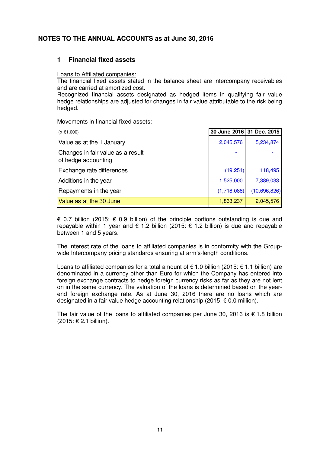## **NOTES TO THE ANNUAL ACCOUNTS as at June 30, 2016**

#### **1 Financial fixed assets**

#### Loans to Affiliated companies:

The financial fixed assets stated in the balance sheet are intercompany receivables and are carried at amortized cost.

Recognized financial assets designated as hedged items in qualifying fair value hedge relationships are adjusted for changes in fair value attributable to the risk being hedged.

Movements in financial fixed assets:

| $(x \in 1,000)$                                          | 30 June 2016 31 Dec. 2015 |              |
|----------------------------------------------------------|---------------------------|--------------|
| Value as at the 1 January                                | 2,045,576                 | 5,234,874    |
| Changes in fair value as a result<br>of hedge accounting |                           |              |
| Exchange rate differences                                | (19, 251)                 | 118,495      |
| Additions in the year                                    | 1,525,000                 | 7,389,033    |
| Repayments in the year                                   | (1,718,088)               | (10,696,826) |
| Value as at the 30 June                                  | 1,833,237                 | 2,045,576    |

€ 0.7 billion (2015: € 0.9 billion) of the principle portions outstanding is due and repayable within 1 year and  $\epsilon$  1.2 billion (2015:  $\epsilon$  1.2 billion) is due and repayable between 1 and 5 years.

The interest rate of the loans to affiliated companies is in conformity with the Groupwide Intercompany pricing standards ensuring at arm's-length conditions.

Loans to affiliated companies for a total amount of  $\epsilon$  1.0 billion (2015:  $\epsilon$  1.1 billion) are denominated in a currency other than Euro for which the Company has entered into foreign exchange contracts to hedge foreign currency risks as far as they are not lent on in the same currency. The valuation of the loans is determined based on the yearend foreign exchange rate. As at June 30, 2016 there are no loans which are designated in a fair value hedge accounting relationship (2015: € 0.0 million).

The fair value of the loans to affiliated companies per June 30, 2016 is  $\epsilon$  1.8 billion (2015: € 2.1 billion).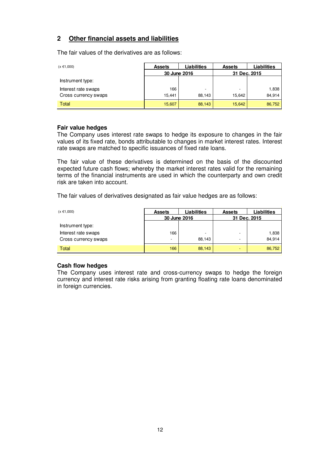# **2 Other financial assets and liabilities**

The fair values of the derivatives are as follows:

| $(x \in 1,000)$      | <b>Assets</b> | <b>Liabilities</b> | <b>Assets</b> | <b>Liabilities</b> |
|----------------------|---------------|--------------------|---------------|--------------------|
|                      | 30 June 2016  |                    | 31 Dec. 2015  |                    |
| Instrument type:     |               |                    |               |                    |
| Interest rate swaps  | 166           | ۰                  |               | 1,838              |
| Cross currency swaps | 15.441        | 88.143             | 15.642        | 84.914             |
| Total                | 15,607        | 88,143             | 15,642        | 86,752             |

#### **Fair value hedges**

The Company uses interest rate swaps to hedge its exposure to changes in the fair values of its fixed rate, bonds attributable to changes in market interest rates. Interest rate swaps are matched to specific issuances of fixed rate loans.

The fair value of these derivatives is determined on the basis of the discounted expected future cash flows; whereby the market interest rates valid for the remaining terms of the financial instruments are used in which the counterparty and own credit risk are taken into account.

The fair values of derivatives designated as fair value hedges are as follows:

| $(x \in 1,000)$      | <b>Assets</b> | <b>Liabilities</b> | <b>Assets</b> | <b>Liabilities</b> |  |  |  |  |  |  |  |  |              |  |
|----------------------|---------------|--------------------|---------------|--------------------|--|--|--|--|--|--|--|--|--------------|--|
|                      | 30 June 2016  |                    |               |                    |  |  |  |  |  |  |  |  | 31 Dec. 2015 |  |
| Instrument type:     |               |                    |               |                    |  |  |  |  |  |  |  |  |              |  |
| Interest rate swaps  | 166           |                    | -             | 1,838              |  |  |  |  |  |  |  |  |              |  |
| Cross currency swaps |               | 88,143             | -             | 84,914             |  |  |  |  |  |  |  |  |              |  |
| Total                | 166           | 88,143             | ٠             | 86,752             |  |  |  |  |  |  |  |  |              |  |

#### **Cash flow hedges**

The Company uses interest rate and cross-currency swaps to hedge the foreign currency and interest rate risks arising from granting floating rate loans denominated in foreign currencies.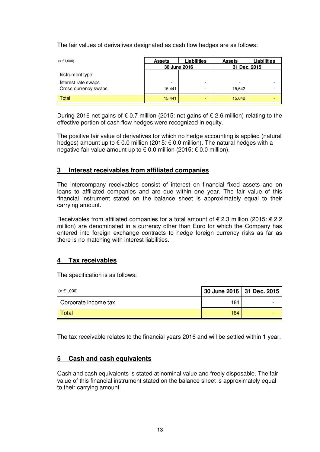The fair values of derivatives designated as cash flow hedges are as follows:

| $(x \in 1,000)$      | <b>Assets</b> | Liabilities | <b>Assets</b> | Liabilities |              |  |
|----------------------|---------------|-------------|---------------|-------------|--------------|--|
|                      | 30 June 2016  |             |               |             | 31 Dec. 2015 |  |
| Instrument type:     |               |             |               |             |              |  |
| Interest rate swaps  | ۰             | -           | ۰             |             |              |  |
| Cross currency swaps | 15,441        | -           | 15,642        |             |              |  |
| Total                | 15,441        | -           | 15,642        | -           |              |  |

During 2016 net gains of € 0.7 million (2015: net gains of € 2.6 million) relating to the effective portion of cash flow hedges were recognized in equity.

The positive fair value of derivatives for which no hedge accounting is applied (natural hedges) amount up to  $\epsilon$  0.0 million (2015:  $\epsilon$  0.0 million). The natural hedges with a negative fair value amount up to € 0.0 million (2015: € 0.0 million).

### **3 Interest receivables from affiliated companies**

The intercompany receivables consist of interest on financial fixed assets and on loans to affiliated companies and are due within one year. The fair value of this financial instrument stated on the balance sheet is approximately equal to their carrying amount.

Receivables from affiliated companies for a total amount of  $\epsilon$  2.3 million (2015:  $\epsilon$  2.2 million) are denominated in a currency other than Euro for which the Company has entered into foreign exchange contracts to hedge foreign currency risks as far as there is no matching with interest liabilities.

### **4 Tax receivables**

The specification is as follows:

| $(x \in 1,000)$      | 30 June 2016   31 Dec. 2015 |  |
|----------------------|-----------------------------|--|
| Corporate income tax | 184                         |  |
| Total                | 184                         |  |

The tax receivable relates to the financial years 2016 and will be settled within 1 year.

### **5 Cash and cash equivalents**

Cash and cash equivalents is stated at nominal value and freely disposable. The fair value of this financial instrument stated on the balance sheet is approximately equal to their carrying amount.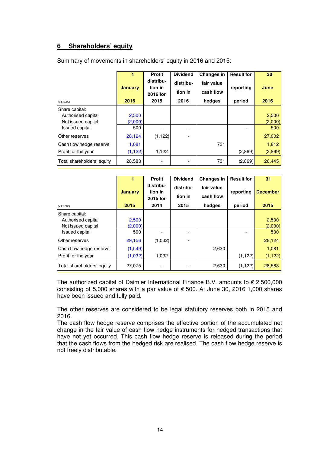# **6 Shareholders' equity**

| $(x \in 1,000)$                                            | 1<br><b>January</b><br>2016 | <b>Profit</b><br>distribu-<br>tion in<br>2016 for<br>2015 | <b>Dividend</b><br>distribu-<br>tion in<br>2016 | <b>Changes in</b><br>fair value<br>cash flow<br>hedges | <b>Result for</b><br>reporting<br>period | 30<br>June<br>2016 |
|------------------------------------------------------------|-----------------------------|-----------------------------------------------------------|-------------------------------------------------|--------------------------------------------------------|------------------------------------------|--------------------|
| Share capital:<br>Authorised capital<br>Not issued capital | 2,500<br>(2,000)            |                                                           |                                                 |                                                        |                                          | 2,500<br>(2,000)   |
| <b>Issued capital</b><br>Other reserves                    | 500<br>28,124               | (1, 122)                                                  |                                                 |                                                        |                                          | 500<br>27,002      |
| Cash flow hedge reserve                                    | 1,081                       |                                                           |                                                 | 731                                                    |                                          | 1,812              |
| Profit for the year                                        | (1, 122)                    | 1,122                                                     |                                                 |                                                        | (2,869)                                  | (2,869)            |
| Total shareholders' equity                                 | 28,583                      |                                                           |                                                 | 731                                                    | (2,869)                                  | 26,445             |

Summary of movements in shareholders' equity in 2016 and 2015:

|                                                                                     | <b>January</b>          | <b>Profit</b><br>distribu-<br>tion in<br>2015 for | <b>Dividend</b><br>distribu-<br>tion in | <b>Changes in</b><br>fair value<br>cash flow | <b>Result for</b><br>reporting | 31<br><b>December</b>   |
|-------------------------------------------------------------------------------------|-------------------------|---------------------------------------------------|-----------------------------------------|----------------------------------------------|--------------------------------|-------------------------|
| $(x \in 1,000)$                                                                     | 2015                    | 2014                                              | 2015                                    | hedges                                       | period                         | 2015                    |
| Share capital:<br>Authorised capital<br>Not issued capital<br><b>Issued capital</b> | 2,500<br>(2,000)<br>500 |                                                   |                                         |                                              |                                | 2,500<br>(2,000)<br>500 |
| Other reserves                                                                      | 29,156                  | (1,032)                                           |                                         |                                              |                                | 28,124                  |
| Cash flow hedge reserve                                                             | (1,549)                 |                                                   |                                         | 2,630                                        |                                | 1,081                   |
| Profit for the year                                                                 | (1,032)                 | 1,032                                             |                                         |                                              | (1, 122)                       | (1, 122)                |
| Total shareholders' equity                                                          | 27,075                  |                                                   |                                         | 2,630                                        | (1, 122)                       | 28,583                  |

The authorized capital of Daimler International Finance B.V. amounts to  $\epsilon$  2,500,000 consisting of 5,000 shares with a par value of  $\epsilon$  500. At June 30, 2016 1,000 shares have been issued and fully paid.

The other reserves are considered to be legal statutory reserves both in 2015 and 2016.

The cash flow hedge reserve comprises the effective portion of the accumulated net change in the fair value of cash flow hedge instruments for hedged transactions that have not yet occurred. This cash flow hedge reserve is released during the period that the cash flows from the hedged risk are realised. The cash flow hedge reserve is not freely distributable.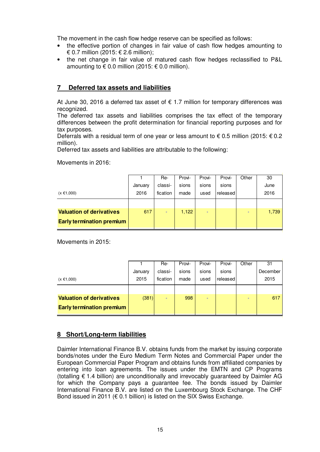The movement in the cash flow hedge reserve can be specified as follows:

- the effective portion of changes in fair value of cash flow hedges amounting to € 0.7 million (2015: € 2.6 million);
- the net change in fair value of matured cash flow hedges reclassified to P&L amounting to  $\epsilon$  0.0 million (2015:  $\epsilon$  0.0 million).

### **7 Deferred tax assets and liabilities**

At June 30, 2016 a deferred tax asset of  $\epsilon$  1.7 million for temporary differences was recognized.

The deferred tax assets and liabilities comprises the tax effect of the temporary differences between the profit determination for financial reporting purposes and for tax purposes.

Deferrals with a residual term of one year or less amount to € 0.5 million (2015:  $€$  0.2 million).

Deferred tax assets and liabilities are attributable to the following:

Movements in 2016:

|                                  |         | Re-                      | Provi- | Provi- | Provi-   | Other | 30    |
|----------------------------------|---------|--------------------------|--------|--------|----------|-------|-------|
|                                  | January | classi-                  | sions  | sions  | sions    |       | June  |
| $(x \in 1,000)$                  | 2016    | fication                 | made   | used   | released |       | 2016  |
|                                  |         |                          |        |        |          |       |       |
| <b>Valuation of derivatives</b>  | 617     | $\overline{\phantom{a}}$ | 1,122  | ۰      |          | ۰     | 1,739 |
| <b>Early termination premium</b> |         |                          |        |        |          |       |       |

Movements in 2015:

|                                  |         | Re-                      | Provi- | Provi- | Provi-   | Other | 31       |
|----------------------------------|---------|--------------------------|--------|--------|----------|-------|----------|
|                                  | January | classi-                  | sions  | sions  | sions    |       | December |
| $(x \in 1,000)$                  | 2015    | fication                 | made   | used   | released |       | 2015     |
|                                  |         |                          |        |        |          |       |          |
| <b>Valuation of derivatives</b>  | (381)   | $\overline{\phantom{a}}$ | 998    |        |          | -     | 617      |
| <b>Early termination premium</b> |         |                          |        |        |          |       |          |

### **8 Short/Long-term liabilities**

Daimler International Finance B.V. obtains funds from the market by issuing corporate bonds/notes under the Euro Medium Term Notes and Commercial Paper under the European Commercial Paper Program and obtains funds from affiliated companies by entering into loan agreements. The issues under the EMTN and CP Programs (totalling € 1.4 billion) are unconditionally and irrevocably quaranteed by Daimler AG for which the Company pays a guarantee fee. The bonds issued by Daimler International Finance B.V. are listed on the Luxembourg Stock Exchange. The CHF Bond issued in 2011 ( $\epsilon$  0.1 billion) is listed on the SIX Swiss Exchange.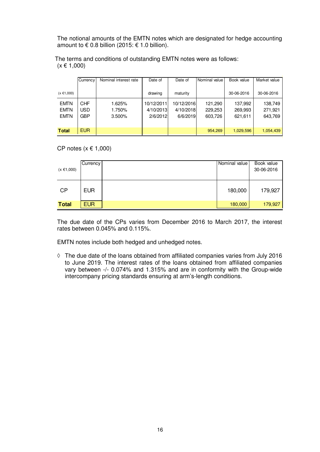The notional amounts of the EMTN notes which are designated for hedge accounting amount to  $\epsilon$  0.8 billion (2015:  $\epsilon$  1.0 billion).

 The terms and conditions of outstanding EMTN notes were as follows:  $(x \in 1,000)$ ľ

|                                           | Currency                         | Nominal interest rate      | Date of                             | Date of                             | Nominal value                 | Book value                    | Market value                  |
|-------------------------------------------|----------------------------------|----------------------------|-------------------------------------|-------------------------------------|-------------------------------|-------------------------------|-------------------------------|
| $(x \in 1,000)$                           |                                  |                            | drawing                             | maturity                            |                               | 30-06-2016                    | 30-06-2016                    |
| <b>EMTN</b><br><b>EMTN</b><br><b>EMTN</b> | <b>CHF</b><br>USD.<br><b>GBP</b> | 1.625%<br>1.750%<br>3.500% | 10/12/2011<br>4/10/2013<br>2/6/2012 | 10/12/2016<br>4/10/2018<br>6/6/2019 | 121,290<br>229,253<br>603,726 | 137,992<br>269,993<br>621,611 | 138,749<br>271,921<br>643,769 |
| <b>Total</b>                              | <b>EUR</b>                       |                            |                                     |                                     | 954.269                       | 1.029.596                     | 1,054,439                     |

CP notes  $(x \in 1,000)$ 

| $(x \in 1,000)$ | Currency   | Nominal value | Book value<br>30-06-2016 |
|-----------------|------------|---------------|--------------------------|
| <b>CP</b>       | <b>EUR</b> | 180,000       | 179,927                  |
| <b>Total</b>    | <b>EUR</b> | 180,000       | 179,927                  |

The due date of the CPs varies from December 2016 to March 2017, the interest rates between 0.045% and 0.115%.

EMTN notes include both hedged and unhedged notes.

**◊** The due date of the loans obtained from affiliated companies varies from July 2016 to June 2019. The interest rates of the loans obtained from affiliated companies vary between -/- 0.074% and 1.315% and are in conformity with the Group-wide intercompany pricing standards ensuring at arm's-length conditions.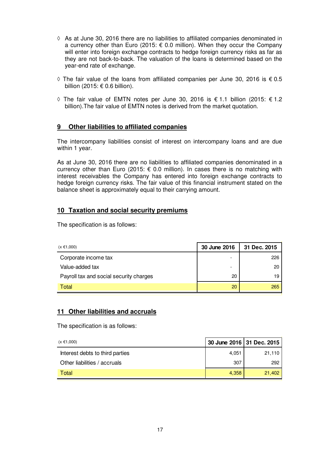- **◊** As at June 30, 2016 there are no liabilities to affiliated companies denominated in a currency other than Euro (2015:  $\epsilon$  0.0 million). When they occur the Company will enter into foreign exchange contracts to hedge foreign currency risks as far as they are not back-to-back. The valuation of the loans is determined based on the year-end rate of exchange.
- **◊** The fair value of the loans from affiliated companies per June 30, 2016 is € 0.5 billion (2015: € 0.6 billion).
- **◊** The fair value of EMTN notes per June 30, 2016 is € 1.1 billion (2015: € 1.2 billion).The fair value of EMTN notes is derived from the market quotation.

### **9 Other liabilities to affiliated companies**

The intercompany liabilities consist of interest on intercompany loans and are due within 1 year.

As at June 30, 2016 there are no liabilities to affiliated companies denominated in a currency other than Euro (2015:  $\epsilon$  0.0 million). In cases there is no matching with interest receivables the Company has entered into foreign exchange contracts to hedge foreign currency risks. The fair value of this financial instrument stated on the balance sheet is approximately equal to their carrying amount.

#### **10 Taxation and social security premiums**

The specification is as follows:

| $(x \in 1,000)$                         | 30 June 2016             | 31 Dec. 2015 |
|-----------------------------------------|--------------------------|--------------|
| Corporate income tax                    | $\overline{\phantom{a}}$ | 226          |
| Value-added tax                         | $\overline{\phantom{0}}$ | 20           |
| Payroll tax and social security charges | 20                       | 19           |
| Total                                   | 20                       | 265          |

#### **11 Other liabilities and accruals**

The specification is as follows:

| $(x \in 1,000)$                 | 30 June 2016 31 Dec. 2015 |        |
|---------------------------------|---------------------------|--------|
| Interest debts to third parties | 4,051                     | 21,110 |
| Other liabilities / accruals    | 307                       | 292    |
| Total                           | 4.358                     | 21.402 |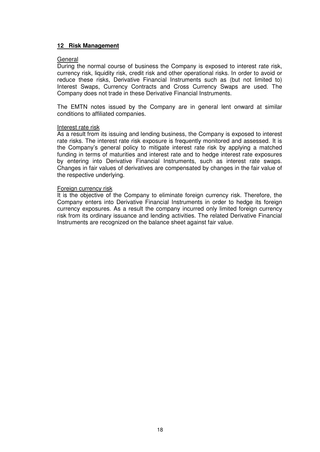#### **12 Risk Management**

#### General

During the normal course of business the Company is exposed to interest rate risk, currency risk, liquidity risk, credit risk and other operational risks. In order to avoid or reduce these risks, Derivative Financial Instruments such as (but not limited to) Interest Swaps, Currency Contracts and Cross Currency Swaps are used. The Company does not trade in these Derivative Financial Instruments.

The EMTN notes issued by the Company are in general lent onward at similar conditions to affiliated companies.

#### Interest rate risk

As a result from its issuing and lending business, the Company is exposed to interest rate risks. The interest rate risk exposure is frequently monitored and assessed. It is the Company's general policy to mitigate interest rate risk by applying a matched funding in terms of maturities and interest rate and to hedge interest rate exposures by entering into Derivative Financial Instruments, such as interest rate swaps. Changes in fair values of derivatives are compensated by changes in the fair value of the respective underlying.

#### Foreign currency risk

It is the objective of the Company to eliminate foreign currency risk. Therefore, the Company enters into Derivative Financial Instruments in order to hedge its foreign currency exposures. As a result the company incurred only limited foreign currency risk from its ordinary issuance and lending activities. The related Derivative Financial Instruments are recognized on the balance sheet against fair value.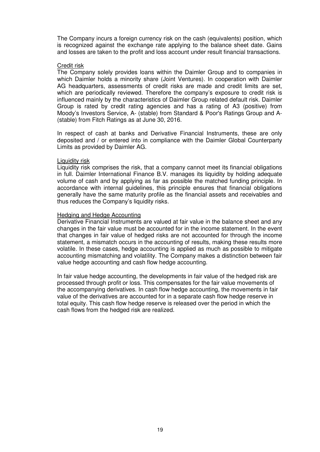The Company incurs a foreign currency risk on the cash (equivalents) position, which is recognized against the exchange rate applying to the balance sheet date. Gains and losses are taken to the profit and loss account under result financial transactions.

#### Credit risk

The Company solely provides loans within the Daimler Group and to companies in which Daimler holds a minority share (Joint Ventures). In cooperation with Daimler AG headquarters, assessments of credit risks are made and credit limits are set, which are periodically reviewed. Therefore the company's exposure to credit risk is influenced mainly by the characteristics of Daimler Group related default risk. Daimler Group is rated by credit rating agencies and has a rating of A3 (positive) from Moody's Investors Service, A- (stable) from Standard & Poor's Ratings Group and A- (stable) from Fitch Ratings as at June 30, 2016.

In respect of cash at banks and Derivative Financial Instruments, these are only deposited and / or entered into in compliance with the Daimler Global Counterparty Limits as provided by Daimler AG.

#### Liquidity risk

Liquidity risk comprises the risk, that a company cannot meet its financial obligations in full. Daimler International Finance B.V. manages its liquidity by holding adequate volume of cash and by applying as far as possible the matched funding principle. In accordance with internal guidelines, this principle ensures that financial obligations generally have the same maturity profile as the financial assets and receivables and thus reduces the Company's liquidity risks.

#### Hedging and Hedge Accounting

Derivative Financial Instruments are valued at fair value in the balance sheet and any changes in the fair value must be accounted for in the income statement. In the event that changes in fair value of hedged risks are not accounted for through the income statement, a mismatch occurs in the accounting of results, making these results more volatile. In these cases, hedge accounting is applied as much as possible to mitigate accounting mismatching and volatility. The Company makes a distinction between fair value hedge accounting and cash flow hedge accounting.

In fair value hedge accounting, the developments in fair value of the hedged risk are processed through profit or loss. This compensates for the fair value movements of the accompanying derivatives. In cash flow hedge accounting, the movements in fair value of the derivatives are accounted for in a separate cash flow hedge reserve in total equity. This cash flow hedge reserve is released over the period in which the cash flows from the hedged risk are realized.